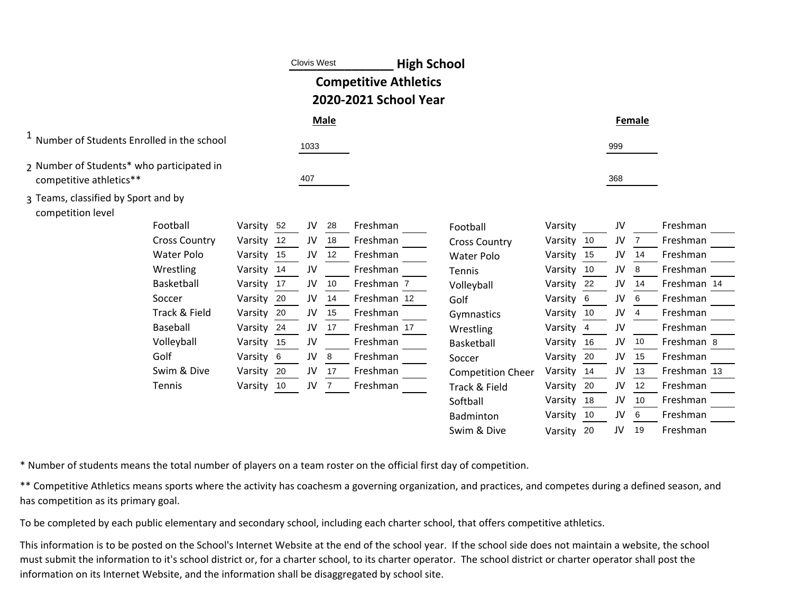|                                                                      |               | <b>Clovis West</b> |             | <b>High School</b>                                    |                          |         |                |     |        |             |  |
|----------------------------------------------------------------------|---------------|--------------------|-------------|-------------------------------------------------------|--------------------------|---------|----------------|-----|--------|-------------|--|
|                                                                      |               |                    |             | <b>Competitive Athletics</b><br>2020-2021 School Year |                          |         |                |     |        |             |  |
|                                                                      |               |                    | <b>Male</b> |                                                       |                          |         |                |     | Female |             |  |
| <sup>1</sup> Number of Students Enrolled in the school               |               | 1033               |             |                                                       |                          |         |                | 999 |        |             |  |
| 2 Number of Students* who participated in<br>competitive athletics** |               | 407                |             |                                                       |                          |         |                | 368 |        |             |  |
| 3 Teams, classified by Sport and by<br>competition level             |               |                    |             |                                                       |                          |         |                |     |        |             |  |
| Football                                                             | Varsity<br>52 | JV                 | 28          | Freshman                                              | Football                 | Varsity |                | JV  |        | Freshman    |  |
| <b>Cross Country</b>                                                 | Varsity<br>12 | JV                 | 18          | Freshman                                              | <b>Cross Country</b>     | Varsity | 10             | JV  |        | Freshman    |  |
| <b>Water Polo</b>                                                    | Varsity<br>15 | JV                 | 12          | Freshman                                              | <b>Water Polo</b>        | Varsity | 15             | JV  | 14     | Freshman    |  |
| Wrestling                                                            | Varsity<br>14 | JV                 |             | Freshman                                              | Tennis                   | Varsity | 10             | JV  | 8      | Freshman    |  |
| Basketball                                                           | 17<br>Varsity | JV                 | 10          | Freshman 7                                            | Volleyball               | Varsity | 22             | JV  | 14     | Freshman 14 |  |
| Soccer                                                               | Varsity 20    | JV                 | 14          | Freshman 12                                           | Golf                     | Varsity | - 6            | JV  | 6      | Freshman    |  |
| Track & Field                                                        | 20<br>Varsity | JV                 | 15          | Freshman                                              | Gymnastics               | Varsity | 10             | JV  |        | Freshman    |  |
| Baseball                                                             | Varsity<br>24 | JV                 | 17          | Freshman 17                                           | Wrestling                | Varsity | $\overline{4}$ | JV  |        | Freshman    |  |
| Volleyball                                                           | Varsity 15    | JV                 |             | Freshman                                              | Basketball               | Varsity | 16             | JV  | 10     | Freshman 8  |  |
| Golf                                                                 | Varsity<br>6  | JV                 | 8           | Freshman                                              | Soccer                   | Varsity | 20             | JV  | 15     | Freshman    |  |
| Swim & Dive                                                          | Varsity<br>20 | JV                 | 17          | Freshman                                              | <b>Competition Cheer</b> | Varsity | 14             | JV  | 13     | Freshman 13 |  |
| Tennis                                                               | Varsity 10    | JV                 | 7           | Freshman                                              | Track & Field            | Varsity | 20             | JV  | 12     | Freshman    |  |
|                                                                      |               |                    |             |                                                       | Softball                 | Varsity | 18             | JV  | 10     | Freshman    |  |
|                                                                      |               |                    |             |                                                       | Badminton                | Varsity | -10            | JV  | 6      | Freshman    |  |
|                                                                      |               |                    |             |                                                       | Swim & Dive              | Varsity | 20             | JV  | 19     | Freshman    |  |

\* Number of students means the total number of players on a team roster on the official first day of competition.

\*\* Competitive Athletics means sports where the activity has coachesm a governing organization, and practices, and competes during a defined season, and has competition as its primary goal.

To be completed by each public elementary and secondary school, including each charter school, that offers competitive athletics.

This information is to be posted on the School's Internet Website at the end of the school year. If the school side does not maintain a website, the school must submit the information to it's school district or, for a charter school, to its charter operator. The school district or charter operator shall post the information on its Internet Website, and the information shall be disaggregated by school site.